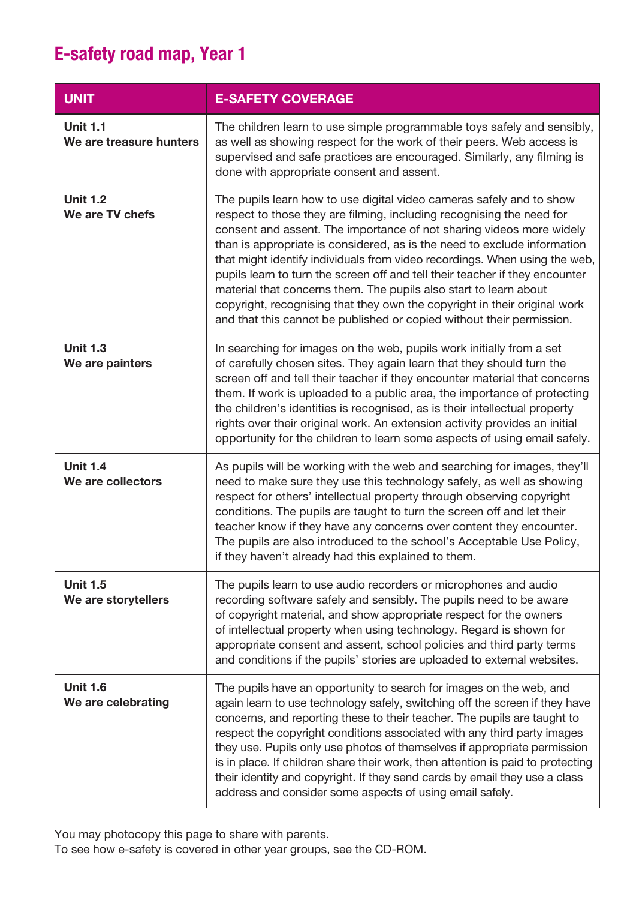| <b>UNIT</b>                                | <b>E-SAFETY COVERAGE</b>                                                                                                                                                                                                                                                                                                                                                                                                                                                                                                                                                                                                                                                                   |
|--------------------------------------------|--------------------------------------------------------------------------------------------------------------------------------------------------------------------------------------------------------------------------------------------------------------------------------------------------------------------------------------------------------------------------------------------------------------------------------------------------------------------------------------------------------------------------------------------------------------------------------------------------------------------------------------------------------------------------------------------|
| <b>Unit 1.1</b><br>We are treasure hunters | The children learn to use simple programmable toys safely and sensibly,<br>as well as showing respect for the work of their peers. Web access is<br>supervised and safe practices are encouraged. Similarly, any filming is<br>done with appropriate consent and assent.                                                                                                                                                                                                                                                                                                                                                                                                                   |
| <b>Unit 1.2</b><br>We are TV chefs         | The pupils learn how to use digital video cameras safely and to show<br>respect to those they are filming, including recognising the need for<br>consent and assent. The importance of not sharing videos more widely<br>than is appropriate is considered, as is the need to exclude information<br>that might identify individuals from video recordings. When using the web,<br>pupils learn to turn the screen off and tell their teacher if they encounter<br>material that concerns them. The pupils also start to learn about<br>copyright, recognising that they own the copyright in their original work<br>and that this cannot be published or copied without their permission. |
| <b>Unit 1.3</b><br>We are painters         | In searching for images on the web, pupils work initially from a set<br>of carefully chosen sites. They again learn that they should turn the<br>screen off and tell their teacher if they encounter material that concerns<br>them. If work is uploaded to a public area, the importance of protecting<br>the children's identities is recognised, as is their intellectual property<br>rights over their original work. An extension activity provides an initial<br>opportunity for the children to learn some aspects of using email safely.                                                                                                                                           |
| <b>Unit 1.4</b><br>We are collectors       | As pupils will be working with the web and searching for images, they'll<br>need to make sure they use this technology safely, as well as showing<br>respect for others' intellectual property through observing copyright<br>conditions. The pupils are taught to turn the screen off and let their<br>teacher know if they have any concerns over content they encounter.<br>The pupils are also introduced to the school's Acceptable Use Policy,<br>if they haven't already had this explained to them.                                                                                                                                                                                |
| <b>Unit 1.5</b><br>We are storytellers     | The pupils learn to use audio recorders or microphones and audio<br>recording software safely and sensibly. The pupils need to be aware<br>of copyright material, and show appropriate respect for the owners<br>of intellectual property when using technology. Regard is shown for<br>appropriate consent and assent, school policies and third party terms<br>and conditions if the pupils' stories are uploaded to external websites.                                                                                                                                                                                                                                                  |
| <b>Unit 1.6</b><br>We are celebrating      | The pupils have an opportunity to search for images on the web, and<br>again learn to use technology safely, switching off the screen if they have<br>concerns, and reporting these to their teacher. The pupils are taught to<br>respect the copyright conditions associated with any third party images<br>they use. Pupils only use photos of themselves if appropriate permission<br>is in place. If children share their work, then attention is paid to protecting<br>their identity and copyright. If they send cards by email they use a class<br>address and consider some aspects of using email safely.                                                                         |

You may photocopy this page to share with parents.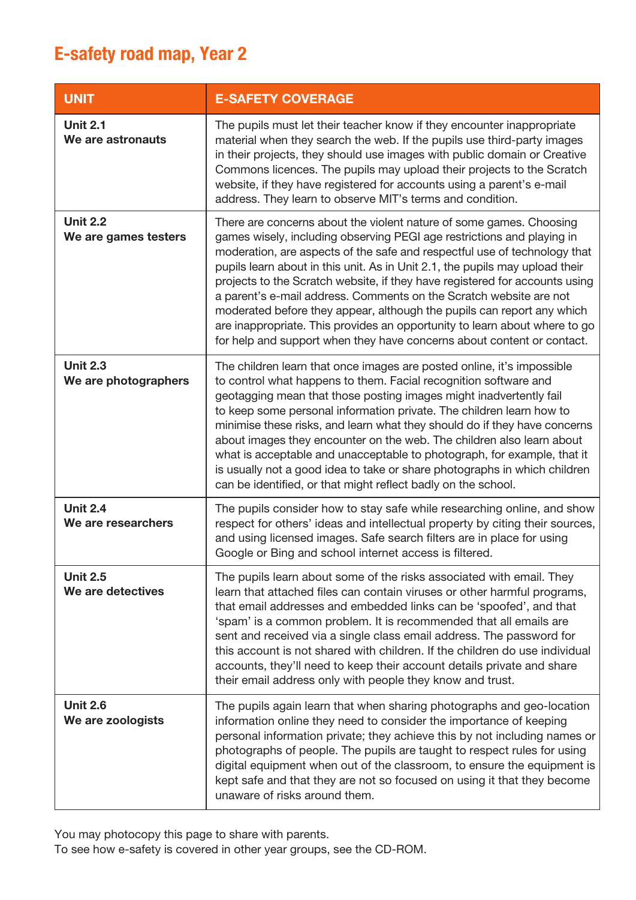| <b>UNIT</b>                             | <b>E-SAFETY COVERAGE</b>                                                                                                                                                                                                                                                                                                                                                                                                                                                                                                                                                                                                                                                                          |
|-----------------------------------------|---------------------------------------------------------------------------------------------------------------------------------------------------------------------------------------------------------------------------------------------------------------------------------------------------------------------------------------------------------------------------------------------------------------------------------------------------------------------------------------------------------------------------------------------------------------------------------------------------------------------------------------------------------------------------------------------------|
| <b>Unit 2.1</b><br>We are astronauts    | The pupils must let their teacher know if they encounter inappropriate<br>material when they search the web. If the pupils use third-party images<br>in their projects, they should use images with public domain or Creative<br>Commons licences. The pupils may upload their projects to the Scratch<br>website, if they have registered for accounts using a parent's e-mail<br>address. They learn to observe MIT's terms and condition.                                                                                                                                                                                                                                                      |
| <b>Unit 2.2</b><br>We are games testers | There are concerns about the violent nature of some games. Choosing<br>games wisely, including observing PEGI age restrictions and playing in<br>moderation, are aspects of the safe and respectful use of technology that<br>pupils learn about in this unit. As in Unit 2.1, the pupils may upload their<br>projects to the Scratch website, if they have registered for accounts using<br>a parent's e-mail address. Comments on the Scratch website are not<br>moderated before they appear, although the pupils can report any which<br>are inappropriate. This provides an opportunity to learn about where to go<br>for help and support when they have concerns about content or contact. |
| <b>Unit 2.3</b><br>We are photographers | The children learn that once images are posted online, it's impossible<br>to control what happens to them. Facial recognition software and<br>geotagging mean that those posting images might inadvertently fail<br>to keep some personal information private. The children learn how to<br>minimise these risks, and learn what they should do if they have concerns<br>about images they encounter on the web. The children also learn about<br>what is acceptable and unacceptable to photograph, for example, that it<br>is usually not a good idea to take or share photographs in which children<br>can be identified, or that might reflect badly on the school.                           |
| <b>Unit 2.4</b><br>We are researchers   | The pupils consider how to stay safe while researching online, and show<br>respect for others' ideas and intellectual property by citing their sources,<br>and using licensed images. Safe search filters are in place for using<br>Google or Bing and school internet access is filtered.                                                                                                                                                                                                                                                                                                                                                                                                        |
| <b>Unit 2.5</b><br>We are detectives    | The pupils learn about some of the risks associated with email. They<br>learn that attached files can contain viruses or other harmful programs,<br>that email addresses and embedded links can be 'spoofed', and that<br>'spam' is a common problem. It is recommended that all emails are<br>sent and received via a single class email address. The password for<br>this account is not shared with children. If the children do use individual<br>accounts, they'll need to keep their account details private and share<br>their email address only with people they know and trust.                                                                                                         |
| <b>Unit 2.6</b><br>We are zoologists    | The pupils again learn that when sharing photographs and geo-location<br>information online they need to consider the importance of keeping<br>personal information private; they achieve this by not including names or<br>photographs of people. The pupils are taught to respect rules for using<br>digital equipment when out of the classroom, to ensure the equipment is<br>kept safe and that they are not so focused on using it that they become<br>unaware of risks around them.                                                                                                                                                                                                        |

You may photocopy this page to share with parents.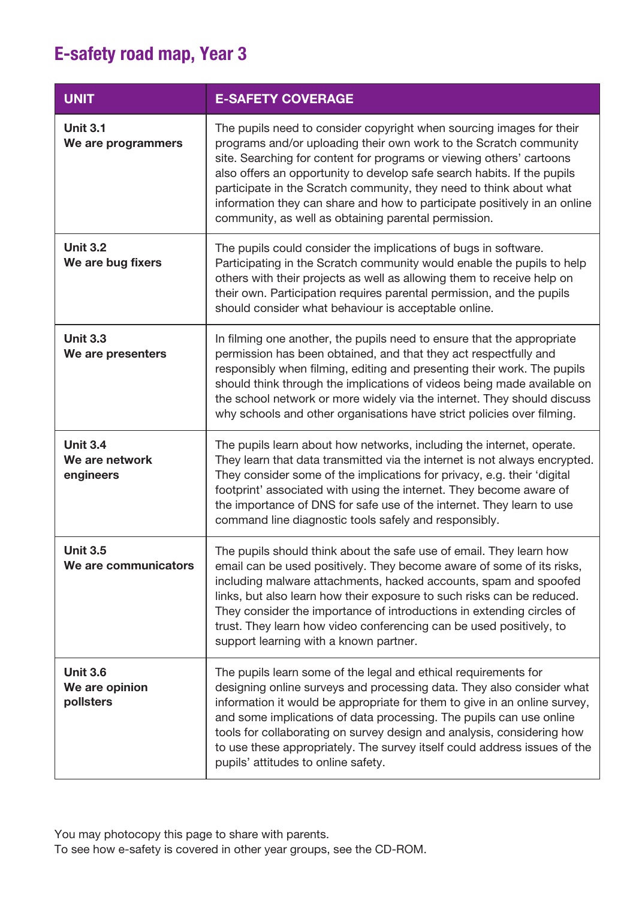| <b>UNIT</b>                                    | <b>E-SAFETY COVERAGE</b>                                                                                                                                                                                                                                                                                                                                                                                                                                                                                 |
|------------------------------------------------|----------------------------------------------------------------------------------------------------------------------------------------------------------------------------------------------------------------------------------------------------------------------------------------------------------------------------------------------------------------------------------------------------------------------------------------------------------------------------------------------------------|
| <b>Unit 3.1</b><br>We are programmers          | The pupils need to consider copyright when sourcing images for their<br>programs and/or uploading their own work to the Scratch community<br>site. Searching for content for programs or viewing others' cartoons<br>also offers an opportunity to develop safe search habits. If the pupils<br>participate in the Scratch community, they need to think about what<br>information they can share and how to participate positively in an online<br>community, as well as obtaining parental permission. |
| <b>Unit 3.2</b><br>We are bug fixers           | The pupils could consider the implications of bugs in software.<br>Participating in the Scratch community would enable the pupils to help<br>others with their projects as well as allowing them to receive help on<br>their own. Participation requires parental permission, and the pupils<br>should consider what behaviour is acceptable online.                                                                                                                                                     |
| <b>Unit 3.3</b><br>We are presenters           | In filming one another, the pupils need to ensure that the appropriate<br>permission has been obtained, and that they act respectfully and<br>responsibly when filming, editing and presenting their work. The pupils<br>should think through the implications of videos being made available on<br>the school network or more widely via the internet. They should discuss<br>why schools and other organisations have strict policies over filming.                                                    |
| <b>Unit 3.4</b><br>We are network<br>engineers | The pupils learn about how networks, including the internet, operate.<br>They learn that data transmitted via the internet is not always encrypted.<br>They consider some of the implications for privacy, e.g. their 'digital<br>footprint' associated with using the internet. They become aware of<br>the importance of DNS for safe use of the internet. They learn to use<br>command line diagnostic tools safely and responsibly.                                                                  |
| <b>Unit 3.5</b><br>We are communicators        | The pupils should think about the safe use of email. They learn how<br>email can be used positively. They become aware of some of its risks,<br>including malware attachments, hacked accounts, spam and spoofed<br>links, but also learn how their exposure to such risks can be reduced.<br>They consider the importance of introductions in extending circles of<br>trust. They learn how video conferencing can be used positively, to<br>support learning with a known partner.                     |
| <b>Unit 3.6</b><br>We are opinion<br>pollsters | The pupils learn some of the legal and ethical requirements for<br>designing online surveys and processing data. They also consider what<br>information it would be appropriate for them to give in an online survey,<br>and some implications of data processing. The pupils can use online<br>tools for collaborating on survey design and analysis, considering how<br>to use these appropriately. The survey itself could address issues of the<br>pupils' attitudes to online safety.               |

You may photocopy this page to share with parents.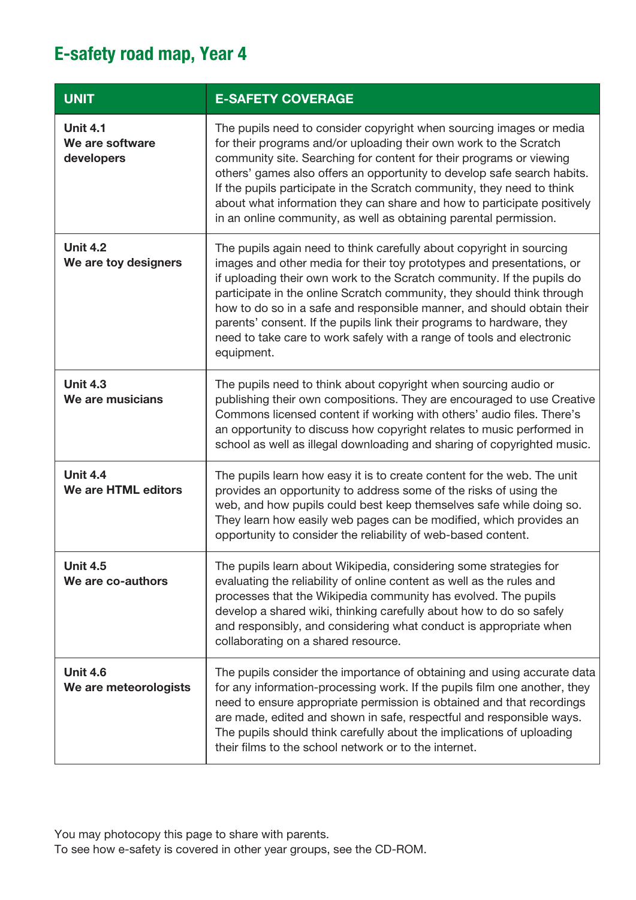| <b>UNIT</b>                                      | <b>E-SAFETY COVERAGE</b>                                                                                                                                                                                                                                                                                                                                                                                                                                                                                                                    |
|--------------------------------------------------|---------------------------------------------------------------------------------------------------------------------------------------------------------------------------------------------------------------------------------------------------------------------------------------------------------------------------------------------------------------------------------------------------------------------------------------------------------------------------------------------------------------------------------------------|
| <b>Unit 4.1</b><br>We are software<br>developers | The pupils need to consider copyright when sourcing images or media<br>for their programs and/or uploading their own work to the Scratch<br>community site. Searching for content for their programs or viewing<br>others' games also offers an opportunity to develop safe search habits.<br>If the pupils participate in the Scratch community, they need to think<br>about what information they can share and how to participate positively<br>in an online community, as well as obtaining parental permission.                        |
| <b>Unit 4.2</b><br>We are toy designers          | The pupils again need to think carefully about copyright in sourcing<br>images and other media for their toy prototypes and presentations, or<br>if uploading their own work to the Scratch community. If the pupils do<br>participate in the online Scratch community, they should think through<br>how to do so in a safe and responsible manner, and should obtain their<br>parents' consent. If the pupils link their programs to hardware, they<br>need to take care to work safely with a range of tools and electronic<br>equipment. |
| <b>Unit 4.3</b><br>We are musicians              | The pupils need to think about copyright when sourcing audio or<br>publishing their own compositions. They are encouraged to use Creative<br>Commons licensed content if working with others' audio files. There's<br>an opportunity to discuss how copyright relates to music performed in<br>school as well as illegal downloading and sharing of copyrighted music.                                                                                                                                                                      |
| <b>Unit 4.4</b><br>We are HTML editors           | The pupils learn how easy it is to create content for the web. The unit<br>provides an opportunity to address some of the risks of using the<br>web, and how pupils could best keep themselves safe while doing so.<br>They learn how easily web pages can be modified, which provides an<br>opportunity to consider the reliability of web-based content.                                                                                                                                                                                  |
| <b>Unit 4.5</b><br>We are co-authors             | The pupils learn about Wikipedia, considering some strategies for<br>evaluating the reliability of online content as well as the rules and<br>processes that the Wikipedia community has evolved. The pupils<br>develop a shared wiki, thinking carefully about how to do so safely<br>and responsibly, and considering what conduct is appropriate when<br>collaborating on a shared resource.                                                                                                                                             |
| <b>Unit 4.6</b><br>We are meteorologists         | The pupils consider the importance of obtaining and using accurate data<br>for any information-processing work. If the pupils film one another, they<br>need to ensure appropriate permission is obtained and that recordings<br>are made, edited and shown in safe, respectful and responsible ways.<br>The pupils should think carefully about the implications of uploading<br>their films to the school network or to the internet.                                                                                                     |

You may photocopy this page to share with parents.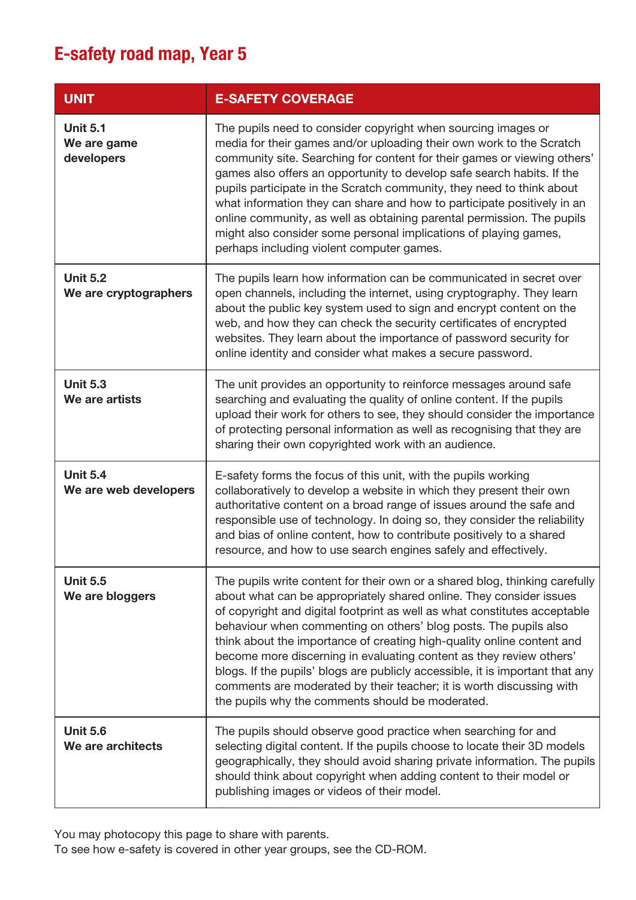| <b>UNIT</b>                                  | <b>E-SAFETY COVERAGE</b>                                                                                                                                                                                                                                                                                                                                                                                                                                                                                                                                                                                                                                          |
|----------------------------------------------|-------------------------------------------------------------------------------------------------------------------------------------------------------------------------------------------------------------------------------------------------------------------------------------------------------------------------------------------------------------------------------------------------------------------------------------------------------------------------------------------------------------------------------------------------------------------------------------------------------------------------------------------------------------------|
| <b>Unit 5.1</b><br>We are game<br>developers | The pupils need to consider copyright when sourcing images or<br>media for their games and/or uploading their own work to the Scratch<br>community site. Searching for content for their games or viewing others'<br>games also offers an opportunity to develop safe search habits. If the<br>pupils participate in the Scratch community, they need to think about<br>what information they can share and how to participate positively in an<br>online community, as well as obtaining parental permission. The pupils<br>might also consider some personal implications of playing games,<br>perhaps including violent computer games.                        |
| <b>Unit 5.2</b><br>We are cryptographers     | The pupils learn how information can be communicated in secret over<br>open channels, including the internet, using cryptography. They learn<br>about the public key system used to sign and encrypt content on the<br>web, and how they can check the security certificates of encrypted<br>websites. They learn about the importance of password security for<br>online identity and consider what makes a secure password.                                                                                                                                                                                                                                     |
| <b>Unit 5.3</b><br>We are artists            | The unit provides an opportunity to reinforce messages around safe<br>searching and evaluating the quality of online content. If the pupils<br>upload their work for others to see, they should consider the importance<br>of protecting personal information as well as recognising that they are<br>sharing their own copyrighted work with an audience.                                                                                                                                                                                                                                                                                                        |
| <b>Unit 5.4</b><br>We are web developers     | E-safety forms the focus of this unit, with the pupils working<br>collaboratively to develop a website in which they present their own<br>authoritative content on a broad range of issues around the safe and<br>responsible use of technology. In doing so, they consider the reliability<br>and bias of online content, how to contribute positively to a shared<br>resource, and how to use search engines safely and effectively.                                                                                                                                                                                                                            |
| <b>Unit 5.5</b><br>We are bloggers           | The pupils write content for their own or a shared blog, thinking carefully<br>about what can be appropriately shared online. They consider issues<br>of copyright and digital footprint as well as what constitutes acceptable<br>behaviour when commenting on others' blog posts. The pupils also<br>think about the importance of creating high-quality online content and<br>become more discerning in evaluating content as they review others'<br>blogs. If the pupils' blogs are publicly accessible, it is important that any<br>comments are moderated by their teacher; it is worth discussing with<br>the pupils why the comments should be moderated. |
| <b>Unit 5.6</b><br>We are architects         | The pupils should observe good practice when searching for and<br>selecting digital content. If the pupils choose to locate their 3D models<br>geographically, they should avoid sharing private information. The pupils<br>should think about copyright when adding content to their model or<br>publishing images or videos of their model.                                                                                                                                                                                                                                                                                                                     |

You may photocopy this page to share with parents.